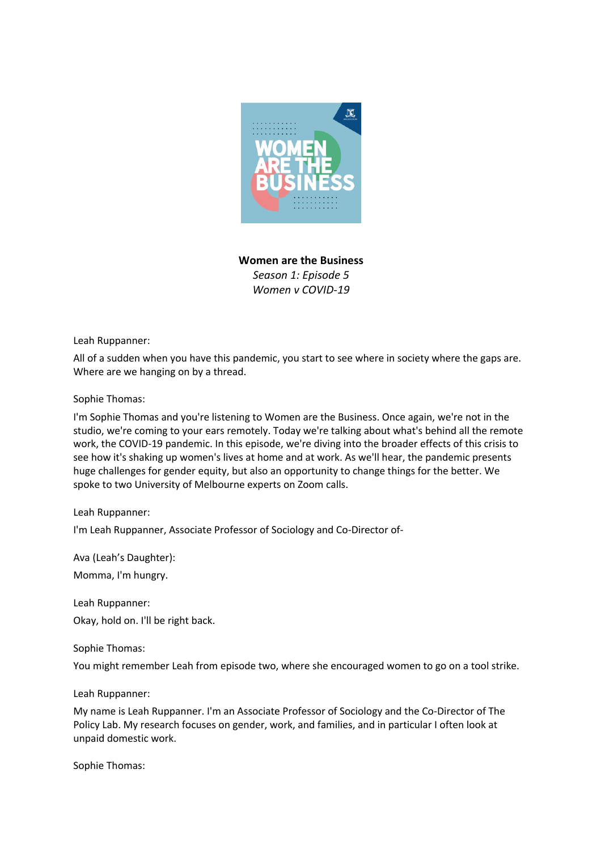

**Women are the Business** *Season 1: Episode 5 Women v COVID-19*

Leah Ruppanner:

All of a sudden when you have this pandemic, you start to see where in society where the gaps are. Where are we hanging on by a thread.

Sophie Thomas:

I'm Sophie Thomas and you're listening to Women are the Business. Once again, we're not in the studio, we're coming to your ears remotely. Today we're talking about what's behind all the remote work, the COVID-19 pandemic. In this episode, we're diving into the broader effects of this crisis to see how it's shaking up women's lives at home and at work. As we'll hear, the pandemic presents huge challenges for gender equity, but also an opportunity to change things for the better. We spoke to two University of Melbourne experts on Zoom calls.

# Leah Ruppanner:

I'm Leah Ruppanner, Associate Professor of Sociology and Co-Director of-

Ava (Leah's Daughter):

Momma, I'm hungry.

Leah Ruppanner: Okay, hold on. I'll be right back.

Sophie Thomas:

You might remember Leah from episode two, where she encouraged women to go on a tool strike.

Leah Ruppanner:

My name is Leah Ruppanner. I'm an Associate Professor of Sociology and the Co-Director of The Policy Lab. My research focuses on gender, work, and families, and in particular I often look at unpaid domestic work.

Sophie Thomas: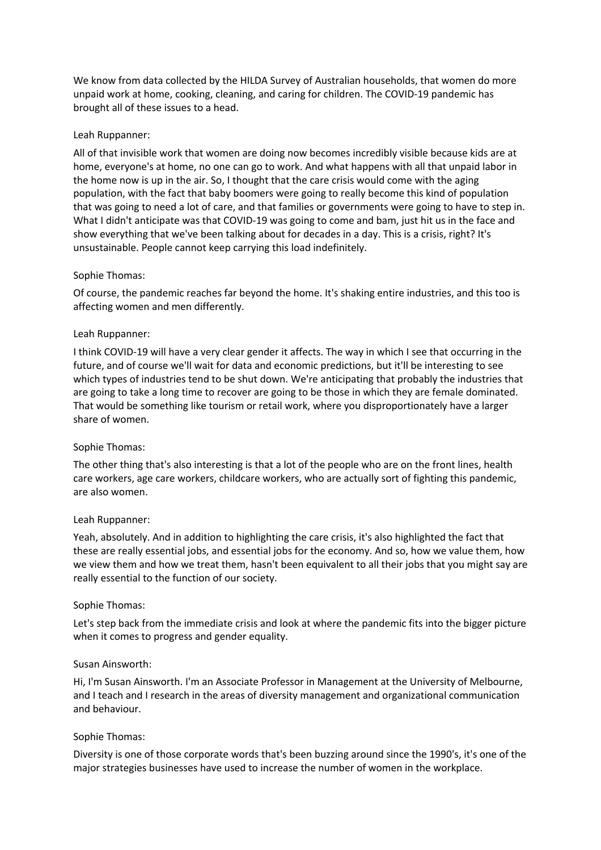We know from data collected by the HILDA Survey of Australian households, that women do more unpaid work at home, cooking, cleaning, and caring for children. The COVID-19 pandemic has brought all of these issues to a head.

## Leah Ruppanner:

All of that invisible work that women are doing now becomes incredibly visible because kids are at home, everyone's at home, no one can go to work. And what happens with all that unpaid labor in the home now is up in the air. So, I thought that the care crisis would come with the aging population, with the fact that baby boomers were going to really become this kind of population that was going to need a lot of care, and that families or governments were going to have to step in. What I didn't anticipate was that COVID-19 was going to come and bam, just hit us in the face and show everything that we've been talking about for decades in a day. This is a crisis, right? It's unsustainable. People cannot keep carrying this load indefinitely.

## Sophie Thomas:

Of course, the pandemic reaches far beyond the home. It's shaking entire industries, and this too is affecting women and men differently.

## Leah Ruppanner:

I think COVID-19 will have a very clear gender it affects. The way in which I see that occurring in the future, and of course we'll wait for data and economic predictions, but it'll be interesting to see which types of industries tend to be shut down. We're anticipating that probably the industries that are going to take a long time to recover are going to be those in which they are female dominated. That would be something like tourism or retail work, where you disproportionately have a larger share of women.

### Sophie Thomas:

The other thing that's also interesting is that a lot of the people who are on the front lines, health care workers, age care workers, childcare workers, who are actually sort of fighting this pandemic, are also women.

### Leah Ruppanner:

Yeah, absolutely. And in addition to highlighting the care crisis, it's also highlighted the fact that these are really essential jobs, and essential jobs for the economy. And so, how we value them, how we view them and how we treat them, hasn't been equivalent to all their jobs that you might say are really essential to the function of our society.

### Sophie Thomas:

Let's step back from the immediate crisis and look at where the pandemic fits into the bigger picture when it comes to progress and gender equality.

### Susan Ainsworth:

Hi, I'm Susan Ainsworth. I'm an Associate Professor in Management at the University of Melbourne, and I teach and I research in the areas of diversity management and organizational communication and behaviour.

### Sophie Thomas:

Diversity is one of those corporate words that's been buzzing around since the 1990's, it's one of the major strategies businesses have used to increase the number of women in the workplace.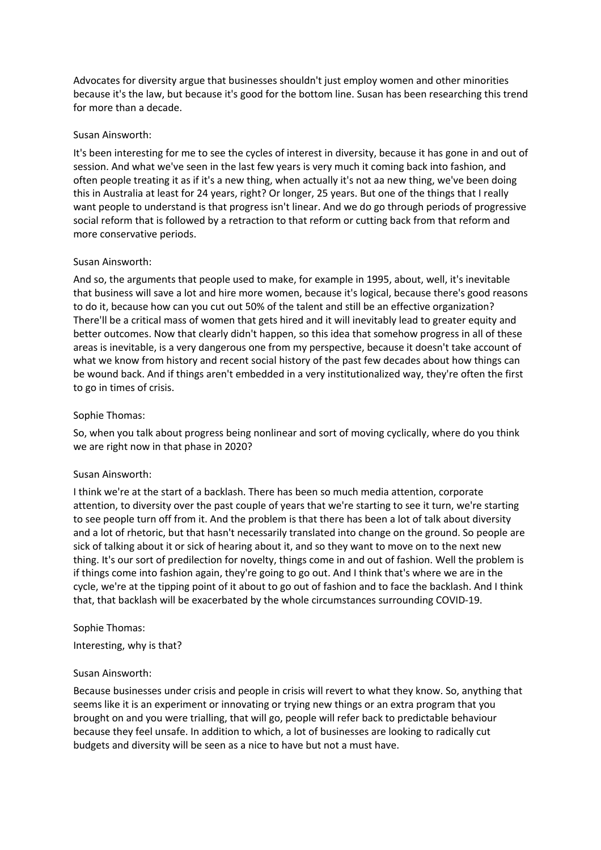Advocates for diversity argue that businesses shouldn't just employ women and other minorities because it's the law, but because it's good for the bottom line. Susan has been researching this trend for more than a decade.

## Susan Ainsworth:

It's been interesting for me to see the cycles of interest in diversity, because it has gone in and out of session. And what we've seen in the last few years is very much it coming back into fashion, and often people treating it as if it's a new thing, when actually it's not aa new thing, we've been doing this in Australia at least for 24 years, right? Or longer, 25 years. But one of the things that I really want people to understand is that progress isn't linear. And we do go through periods of progressive social reform that is followed by a retraction to that reform or cutting back from that reform and more conservative periods.

## Susan Ainsworth:

And so, the arguments that people used to make, for example in 1995, about, well, it's inevitable that business will save a lot and hire more women, because it's logical, because there's good reasons to do it, because how can you cut out 50% of the talent and still be an effective organization? There'll be a critical mass of women that gets hired and it will inevitably lead to greater equity and better outcomes. Now that clearly didn't happen, so this idea that somehow progress in all of these areas is inevitable, is a very dangerous one from my perspective, because it doesn't take account of what we know from history and recent social history of the past few decades about how things can be wound back. And if things aren't embedded in a very institutionalized way, they're often the first to go in times of crisis.

# Sophie Thomas:

So, when you talk about progress being nonlinear and sort of moving cyclically, where do you think we are right now in that phase in 2020?

# Susan Ainsworth:

I think we're at the start of a backlash. There has been so much media attention, corporate attention, to diversity over the past couple of years that we're starting to see it turn, we're starting to see people turn off from it. And the problem is that there has been a lot of talk about diversity and a lot of rhetoric, but that hasn't necessarily translated into change on the ground. So people are sick of talking about it or sick of hearing about it, and so they want to move on to the next new thing. It's our sort of predilection for novelty, things come in and out of fashion. Well the problem is if things come into fashion again, they're going to go out. And I think that's where we are in the cycle, we're at the tipping point of it about to go out of fashion and to face the backlash. And I think that, that backlash will be exacerbated by the whole circumstances surrounding COVID-19.

### Sophie Thomas:

Interesting, why is that?

### Susan Ainsworth:

Because businesses under crisis and people in crisis will revert to what they know. So, anything that seems like it is an experiment or innovating or trying new things or an extra program that you brought on and you were trialling, that will go, people will refer back to predictable behaviour because they feel unsafe. In addition to which, a lot of businesses are looking to radically cut budgets and diversity will be seen as a nice to have but not a must have.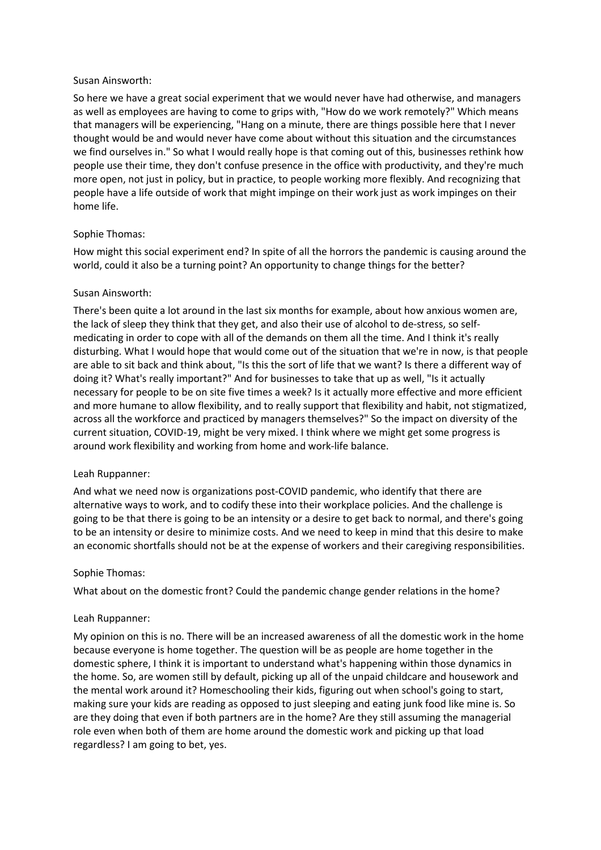## Susan Ainsworth:

So here we have a great social experiment that we would never have had otherwise, and managers as well as employees are having to come to grips with, "How do we work remotely?" Which means that managers will be experiencing, "Hang on a minute, there are things possible here that I never thought would be and would never have come about without this situation and the circumstances we find ourselves in." So what I would really hope is that coming out of this, businesses rethink how people use their time, they don't confuse presence in the office with productivity, and they're much more open, not just in policy, but in practice, to people working more flexibly. And recognizing that people have a life outside of work that might impinge on their work just as work impinges on their home life.

# Sophie Thomas:

How might this social experiment end? In spite of all the horrors the pandemic is causing around the world, could it also be a turning point? An opportunity to change things for the better?

# Susan Ainsworth:

There's been quite a lot around in the last six months for example, about how anxious women are, the lack of sleep they think that they get, and also their use of alcohol to de-stress, so selfmedicating in order to cope with all of the demands on them all the time. And I think it's really disturbing. What I would hope that would come out of the situation that we're in now, is that people are able to sit back and think about, "Is this the sort of life that we want? Is there a different way of doing it? What's really important?" And for businesses to take that up as well, "Is it actually necessary for people to be on site five times a week? Is it actually more effective and more efficient and more humane to allow flexibility, and to really support that flexibility and habit, not stigmatized, across all the workforce and practiced by managers themselves?" So the impact on diversity of the current situation, COVID-19, might be very mixed. I think where we might get some progress is around work flexibility and working from home and work-life balance.

# Leah Ruppanner:

And what we need now is organizations post-COVID pandemic, who identify that there are alternative ways to work, and to codify these into their workplace policies. And the challenge is going to be that there is going to be an intensity or a desire to get back to normal, and there's going to be an intensity or desire to minimize costs. And we need to keep in mind that this desire to make an economic shortfalls should not be at the expense of workers and their caregiving responsibilities.

# Sophie Thomas:

What about on the domestic front? Could the pandemic change gender relations in the home?

# Leah Ruppanner:

My opinion on this is no. There will be an increased awareness of all the domestic work in the home because everyone is home together. The question will be as people are home together in the domestic sphere, I think it is important to understand what's happening within those dynamics in the home. So, are women still by default, picking up all of the unpaid childcare and housework and the mental work around it? Homeschooling their kids, figuring out when school's going to start, making sure your kids are reading as opposed to just sleeping and eating junk food like mine is. So are they doing that even if both partners are in the home? Are they still assuming the managerial role even when both of them are home around the domestic work and picking up that load regardless? I am going to bet, yes.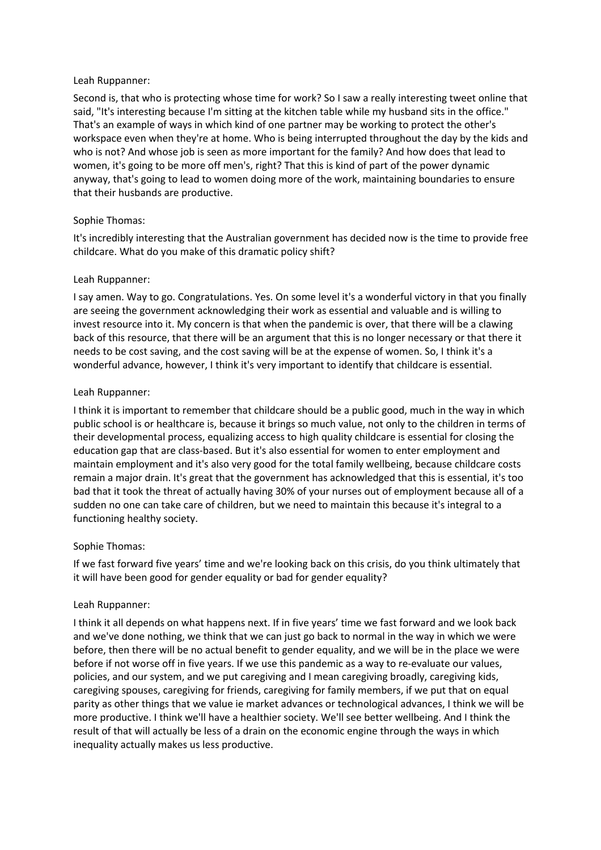# Leah Ruppanner:

Second is, that who is protecting whose time for work? So I saw a really interesting tweet online that said, "It's interesting because I'm sitting at the kitchen table while my husband sits in the office." That's an example of ways in which kind of one partner may be working to protect the other's workspace even when they're at home. Who is being interrupted throughout the day by the kids and who is not? And whose job is seen as more important for the family? And how does that lead to women, it's going to be more off men's, right? That this is kind of part of the power dynamic anyway, that's going to lead to women doing more of the work, maintaining boundaries to ensure that their husbands are productive.

# Sophie Thomas:

It's incredibly interesting that the Australian government has decided now is the time to provide free childcare. What do you make of this dramatic policy shift?

# Leah Ruppanner:

I say amen. Way to go. Congratulations. Yes. On some level it's a wonderful victory in that you finally are seeing the government acknowledging their work as essential and valuable and is willing to invest resource into it. My concern is that when the pandemic is over, that there will be a clawing back of this resource, that there will be an argument that this is no longer necessary or that there it needs to be cost saving, and the cost saving will be at the expense of women. So, I think it's a wonderful advance, however, I think it's very important to identify that childcare is essential.

# Leah Ruppanner:

I think it is important to remember that childcare should be a public good, much in the way in which public school is or healthcare is, because it brings so much value, not only to the children in terms of their developmental process, equalizing access to high quality childcare is essential for closing the education gap that are class-based. But it's also essential for women to enter employment and maintain employment and it's also very good for the total family wellbeing, because childcare costs remain a major drain. It's great that the government has acknowledged that this is essential, it's too bad that it took the threat of actually having 30% of your nurses out of employment because all of a sudden no one can take care of children, but we need to maintain this because it's integral to a functioning healthy society.

# Sophie Thomas:

If we fast forward five years' time and we're looking back on this crisis, do you think ultimately that it will have been good for gender equality or bad for gender equality?

# Leah Ruppanner:

I think it all depends on what happens next. If in five years' time we fast forward and we look back and we've done nothing, we think that we can just go back to normal in the way in which we were before, then there will be no actual benefit to gender equality, and we will be in the place we were before if not worse off in five years. If we use this pandemic as a way to re-evaluate our values, policies, and our system, and we put caregiving and I mean caregiving broadly, caregiving kids, caregiving spouses, caregiving for friends, caregiving for family members, if we put that on equal parity as other things that we value ie market advances or technological advances, I think we will be more productive. I think we'll have a healthier society. We'll see better wellbeing. And I think the result of that will actually be less of a drain on the economic engine through the ways in which inequality actually makes us less productive.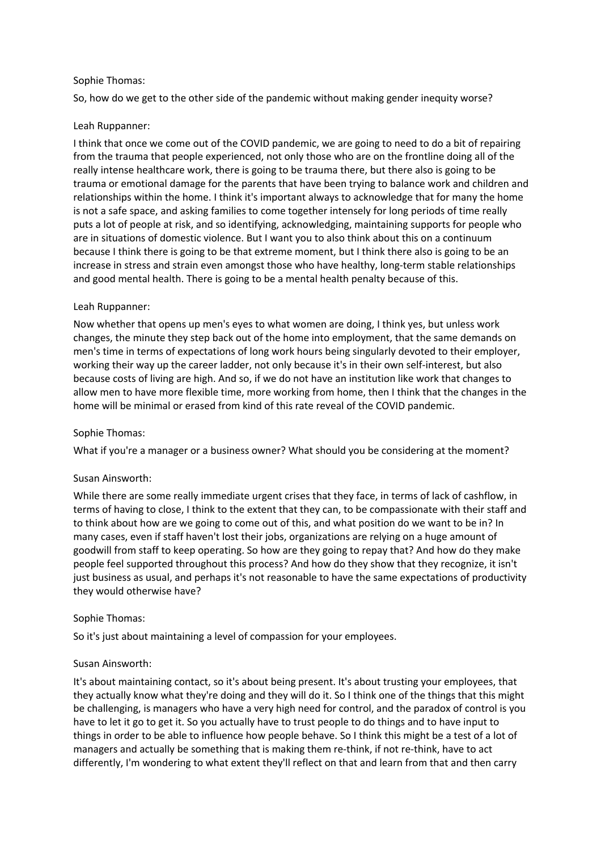# Sophie Thomas:

So, how do we get to the other side of the pandemic without making gender inequity worse?

# Leah Ruppanner:

I think that once we come out of the COVID pandemic, we are going to need to do a bit of repairing from the trauma that people experienced, not only those who are on the frontline doing all of the really intense healthcare work, there is going to be trauma there, but there also is going to be trauma or emotional damage for the parents that have been trying to balance work and children and relationships within the home. I think it's important always to acknowledge that for many the home is not a safe space, and asking families to come together intensely for long periods of time really puts a lot of people at risk, and so identifying, acknowledging, maintaining supports for people who are in situations of domestic violence. But I want you to also think about this on a continuum because I think there is going to be that extreme moment, but I think there also is going to be an increase in stress and strain even amongst those who have healthy, long-term stable relationships and good mental health. There is going to be a mental health penalty because of this.

# Leah Ruppanner:

Now whether that opens up men's eyes to what women are doing, I think yes, but unless work changes, the minute they step back out of the home into employment, that the same demands on men's time in terms of expectations of long work hours being singularly devoted to their employer, working their way up the career ladder, not only because it's in their own self-interest, but also because costs of living are high. And so, if we do not have an institution like work that changes to allow men to have more flexible time, more working from home, then I think that the changes in the home will be minimal or erased from kind of this rate reveal of the COVID pandemic.

# Sophie Thomas:

What if you're a manager or a business owner? What should you be considering at the moment?

# Susan Ainsworth:

While there are some really immediate urgent crises that they face, in terms of lack of cashflow, in terms of having to close, I think to the extent that they can, to be compassionate with their staff and to think about how are we going to come out of this, and what position do we want to be in? In many cases, even if staff haven't lost their jobs, organizations are relying on a huge amount of goodwill from staff to keep operating. So how are they going to repay that? And how do they make people feel supported throughout this process? And how do they show that they recognize, it isn't just business as usual, and perhaps it's not reasonable to have the same expectations of productivity they would otherwise have?

# Sophie Thomas:

So it's just about maintaining a level of compassion for your employees.

# Susan Ainsworth:

It's about maintaining contact, so it's about being present. It's about trusting your employees, that they actually know what they're doing and they will do it. So I think one of the things that this might be challenging, is managers who have a very high need for control, and the paradox of control is you have to let it go to get it. So you actually have to trust people to do things and to have input to things in order to be able to influence how people behave. So I think this might be a test of a lot of managers and actually be something that is making them re-think, if not re-think, have to act differently, I'm wondering to what extent they'll reflect on that and learn from that and then carry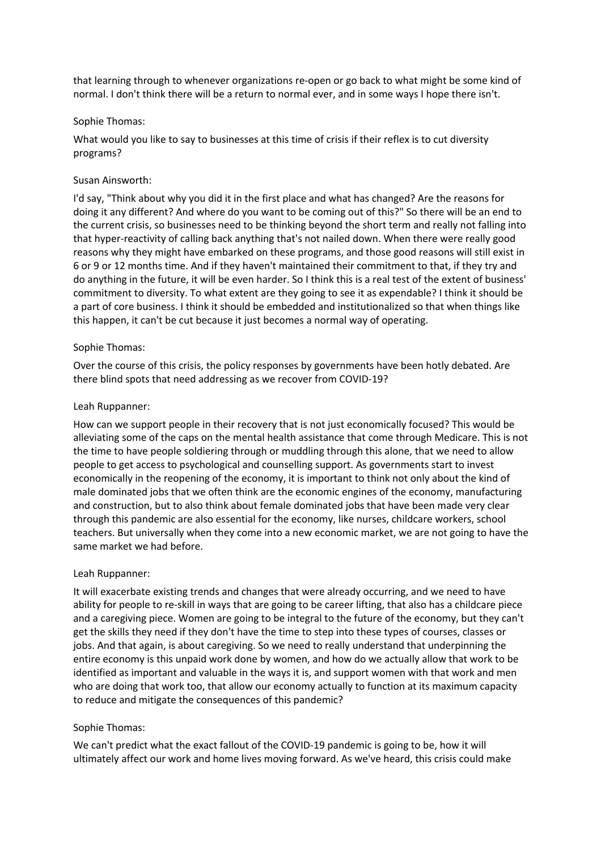that learning through to whenever organizations re-open or go back to what might be some kind of normal. I don't think there will be a return to normal ever, and in some ways I hope there isn't.

## Sophie Thomas:

What would you like to say to businesses at this time of crisis if their reflex is to cut diversity programs?

## Susan Ainsworth:

I'd say, "Think about why you did it in the first place and what has changed? Are the reasons for doing it any different? And where do you want to be coming out of this?" So there will be an end to the current crisis, so businesses need to be thinking beyond the short term and really not falling into that hyper-reactivity of calling back anything that's not nailed down. When there were really good reasons why they might have embarked on these programs, and those good reasons will still exist in 6 or 9 or 12 months time. And if they haven't maintained their commitment to that, if they try and do anything in the future, it will be even harder. So I think this is a real test of the extent of business' commitment to diversity. To what extent are they going to see it as expendable? I think it should be a part of core business. I think it should be embedded and institutionalized so that when things like this happen, it can't be cut because it just becomes a normal way of operating.

## Sophie Thomas:

Over the course of this crisis, the policy responses by governments have been hotly debated. Are there blind spots that need addressing as we recover from COVID-19?

### Leah Ruppanner:

How can we support people in their recovery that is not just economically focused? This would be alleviating some of the caps on the mental health assistance that come through Medicare. This is not the time to have people soldiering through or muddling through this alone, that we need to allow people to get access to psychological and counselling support. As governments start to invest economically in the reopening of the economy, it is important to think not only about the kind of male dominated jobs that we often think are the economic engines of the economy, manufacturing and construction, but to also think about female dominated jobs that have been made very clear through this pandemic are also essential for the economy, like nurses, childcare workers, school teachers. But universally when they come into a new economic market, we are not going to have the same market we had before.

# Leah Ruppanner:

It will exacerbate existing trends and changes that were already occurring, and we need to have ability for people to re-skill in ways that are going to be career lifting, that also has a childcare piece and a caregiving piece. Women are going to be integral to the future of the economy, but they can't get the skills they need if they don't have the time to step into these types of courses, classes or jobs. And that again, is about caregiving. So we need to really understand that underpinning the entire economy is this unpaid work done by women, and how do we actually allow that work to be identified as important and valuable in the ways it is, and support women with that work and men who are doing that work too, that allow our economy actually to function at its maximum capacity to reduce and mitigate the consequences of this pandemic?

### Sophie Thomas:

We can't predict what the exact fallout of the COVID-19 pandemic is going to be, how it will ultimately affect our work and home lives moving forward. As we've heard, this crisis could make